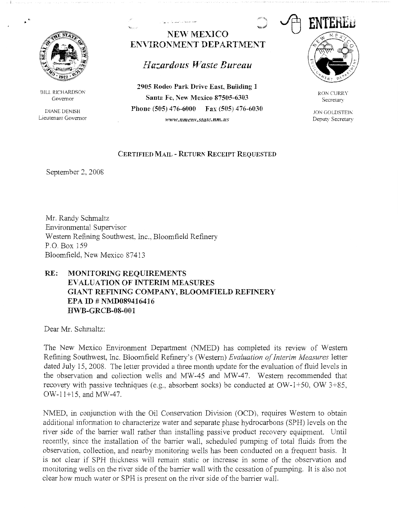

BILL RICHARDSON Governor

DIANE DENISH Lieutenant Governor

## **NEW MEXICO ENVIRONMENT DEPARTMENT**

## *Hazardous Waste Bureau*

**2905 Rodeo Park Drive East, Building 1 Santa Fe, New Mexico 87505-6303 Phone (505) 476-6000 Fax (505) 476-6030**  *www.11me11l'.statc.11m.us* 



RON CURRY **Secretary** 

**JON GOLDSTEIN** Deputy Secretary

## **CERTIFIED MAIL - RETURN RECEIPT REQUESTED**

September 2, 2008

Mr. Randy Schmaltz Environmental Supervisor Western Refining Southwest, Inc., Bloomfield Refinery P.O. Box 159 Bloomfield, New Mexico 87413

## **RE: MONITORLNG REQUIREMENTS EVALUATION OF INTERIM MEASURES GIANT REFINING COMPANY, BLOOMFIELD REFINERY EPA ID # NMD089416416 Irn'B-GRCB-08-001**

Dear Mr. Schmaltz:

The New Mexico Enviromnent Department (NMED) has completed its review of Western Refining Southwest, Inc. Bloomfield Refinery's (Western) *Evaluation oflnterim Measures* letter dated July 15, 2008. The letter provided a three month update for the evaluation of fluid levels in the observation and collection wells and MW-45 and MW-47. Western recommended that recovery with passive techniques (e.g., absorbent socks) be conducted at  $OW-1+50$ ,  $OW-3+85$ , OW-11+15, and MW-47.

NMED, in conjunction with the Oil Conservation Division (OCD), requires Western to obtain additional information to characterize water and separate phase hydrocarbons (SPH) levels on the river side of the barrier wall rather than installing passive product recovery equipment. Until recently, since the installation of the barrier wall, scheduled pumping of total fluids from the observation, collection, and nearby monitoring wells has been conducted on a frequent basis. It is not clear if SPH thickness will remain static or increase in some of the observation and monitoring wells on the river side of the barrier wall with the cessation of pumping. It is also not clear how much water or SPH is present on the river side of the barrier wall.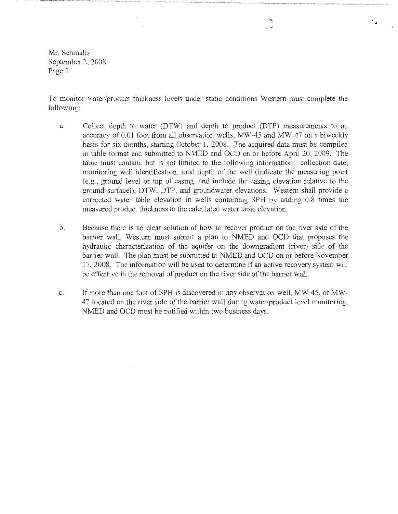Mr. Schmaltz September 2, 2008 Page2

 $\lambda$  .

 $\tau_{\rm{max}}$ 

To monitor water/product thickness levels under static conditions Western must complete the following:

 $\ddot{\bullet}$ 

- a. Collect depth to water (DTW) and depth to product (DTP) measurements to an accuracy of 0.01 foot from all observation wells, MW-45 and MW-47 on a biweekly basis for six months, starting October 1, 2008. The acquired data must be compiled in table format and submitted to NMED and OCD on or before April 20, 2009. The table must contain, but is not limited to the following information: collection date, monitoring well identification, total depth of the well (indicate the measuring point ( e.g., ground level or top of casing, and include the casing elevation relative to the ground surface)), DTW, DTP, and groundwater elevations. Western shall provide a corrected water table elevation in wells containing SPH by adding 0.8 times the measured product thickness to the calculated water table elevation.
- b. Because there is no clear solution of how to recover product on the river side of the barrier wall, Western must submit a plan to NMED and OCD that proposes the hydraulic characterization of the aquifer on the downgradient (river) side of the barrier wall. The plan must be submitted to NMED and OCD on or before November 17, 2008. The information will be used to determine if an active recovery system will be effective in the removal of product on the river side of the barrier wall.
- c. If more than one foot of SPH is discovered in any observation well, MW-45, or MW-4 7 located on the river side of the barrier wall during water/product level monitoring, NMED and OCD must be notified within two business days.